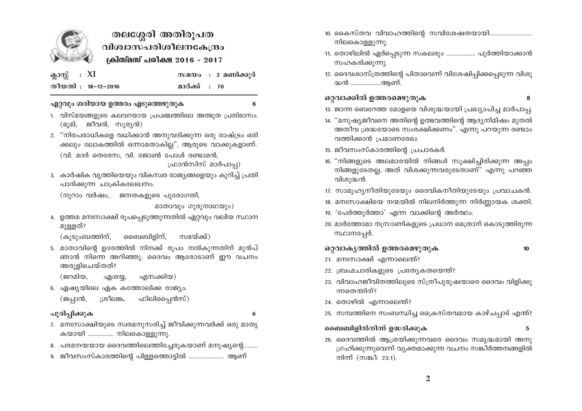

# തലശ്ശേരി അതിരൂപത വിശ്വാസപരിശീലനകേന്ദ്രം ക്രിസ്മസ് പരിക്ഷ 2016 - 2017

| ക്ലാസ്സ് : $XI$ |                    |              | സമയം : 2 മണിക്കുർ |
|-----------------|--------------------|--------------|-------------------|
|                 | തീയതി : 18-12-2016 | മാർക്ക് : 70 |                   |

#### ഏറ്റവും ശരിയായ ഉത്തരം എടുത്തെഴുതുക

- 1. വിസ്മയങ്ങളുടെ കലവറയായ പ്രപഞ്ചത്തിലെ അത്ഭുത പ്രതിഭാസം. (ഭൂമി, ജീവൻ, സൂര്യൻ)
- 2. "നിരപരാധികളെ വധിക്കാൻ അനുവദിക്കുന്ന ഒരു രാഷ്ട്രം ഒരി ക്കലും ലോകത്തിൽ ഒന്നാമതാകില്ല". ആരുടെ വാക്കുകളാണ്. (വി. മദർ തെരേസ. വി. ജോൺ പോൾ രണ്ടാമൻ.

ഫ്രാൻസിസ് മാർപാപ്പ)

3. കാർഷിക വൃത്തിയെയും വികസ്വര രാജ്യങ്ങളെയും കുറിച്ച് പ്രതി പാദിക്കുന്ന ചാക്രികലേഖനം.

(നുറാം വർഷം, ജനതകളുടെ പുരോഗതി,

മാതാവും ഗുരുനാഥയും)

4. ഉത്തമ മനഃസാക്ഷി രൂപപ്പെടുത്തുന്നതിൽ ഏറ്റവും വലിയ സ്ഥാന മുള്ളത്?

(കുടുംബത്തിന്, ബൈബിളിന്. സഭയ്ക്ക്)

5. മാതാവിന്റെ ഉദരത്തിൽ നിനക്ക് രൂപം നൽകുന്നതിന് മുൻപ് ഞാൻ നിന്നെ അറിഞ്ഞു. ദൈവം ആരോടാണ് ഈ വചനം അരുളിചെയ്തത്?

(ജറമിയ. എസക്കിയ) ഏശയ്യ,

6. ഏഷ്യയിലെ ഏക കത്തോലിക്ക രാജ്യം.

(ജപ്പാൻ, ഫിലിപ്പൈൻസ്) ശ്രീലങ്ക,

#### പൂരിപ്പിക്കുക

6

- 7. മനഃസാക്ഷിയുടെ സ്വരമനുസരിച്ച് ജീവിക്കുന്നവർക്ക് ഒരു മാതൃ കയായി ................ നിലകൊള്ളുന്നു.
- 8. പരമനന്മയായ ദൈവത്തിലെത്തിച്ചേരുകയാണ് മനുഷ്യന്റെ.........
- 9. ജീവസംസ്കാരത്തിന്റെ പിള്ളത്തൊട്ടിൽ ....................... ആണ്
- 10. കൈസ്തവ വിവാഹത്തിന്റെ സവിശേഷതയായി............ നിലകൊള്ളുന്നു.
- 11. തൊഴിലിൽ ഏർപ്പെടുന്ന സകലരും ................... പൂർത്തിയാക്കാൻ സഹകരിക്കുന്നു.
- 12. ദൈവശാസ്ത്രത്തിന്റെ പിതാവെന്ന് വിശേഷിപ്പിക്കപ്പെടുന്ന വിശു ദ്ധൻ ..................ആണ്.

### ഒറ്റവാക്കിൽ ഉത്തരമെഴുതുക

8

13. ജാന്ന ബെറേത്ത മോളയെ വിശുദ്ധയായി പ്രഖ്യാപിച്ച മാർപാപ്പ.

- 14. "മനുഷ്യജീവനെ അതിന്റെ ഉത്ഭവത്തിന്റെ ആദ്യനിമിഷം മുതൽ അതീവ ശ്രദ്ധയോടെ സംരക്ഷിക്കണം". എന്നു പറയുന്ന രണ്ടാം വത്തിക്കാൻ പ്രമാണരേഖ.
- 15. ജീവസംസ്കാരത്തിന്റെ പ്രചാരകർ.
- 16. "നിങ്ങളുടെ അലമാരയിൽ നിങ്ങൾ സുക്ഷിച്ചിരിക്കുന്ന അപ്പം നിങ്ങളുടേതല്ല, അത് വിശക്കുന്നവരുടേതാണ്" എന്നു പറഞ്ഞ വിശുദ്ധൻ.
- 17. സാമൂഹ്യനീതിയുടേയും ദൈവികനീതിയുടേയും പ്രവാചകൻ.
- 18. മനഃസാക്ഷിയെ നന്മയിൽ നിലനിർത്തുന്ന നിർണ്ണായക ശക്തി.
- 19. 'പേർത്തൂർത്താ' എന്ന വാക്കിന്റെ അർത്ഥം.
- 20. മാർത്തോമാ നസ്രാണികളുടെ പ്രധാന മെത്രാന് കൊടുത്തിരുന്ന സ്ഥാനപ്പേര്.

## ഒറ്റവാകൃത്തിൽ ഉത്തരമെഴുതുക

 $10$ 

- 21. മനഃസാക്ഷി എന്നാലെന്ത്?
- 22. ബ്രഹ്മചാരികളുടെ പ്രത്യേകതയെന്ത്?
- 23. വിവാഹജീവിതത്തിലൂടെ സ്ത്രീപുരുഷന്മാരെ ദൈവം വിളിക്കു ന്നതെന്തിന്?
- 24. തൊഴിൽ എന്നാലെന്ത്?
- 25. സമ്പത്തിനെ സംബന്ധിച്ച ക്രൈസ്തവമായ കാഴ്ചപ്പാട് എന്ത്?

#### ബൈബിളിൽനിന്ന് ഉദ്ധരിക്കുക

26. ദൈവത്തിൽ ആശ്രയിക്കുന്നവരെ ദൈവം സമൃദ്ധമായി അനു ഗ്രഹിക്കുന്നുവെന്ന് വ്യക്തമാക്കുന്ന വചനം സങ്കീർത്തനങ്ങളിൽ നിന്ന് (സങ്കീ: 23:1).